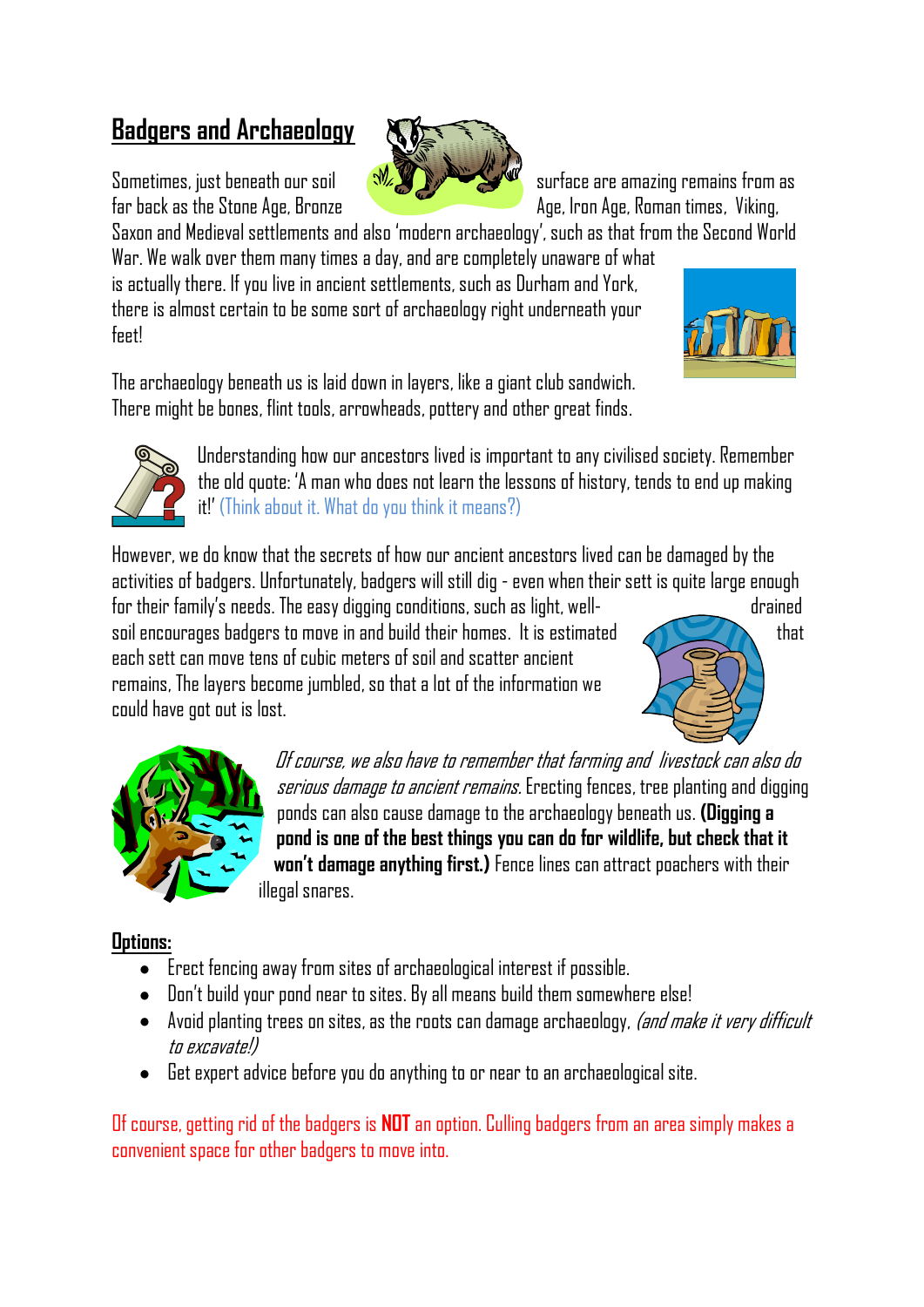# **Badgers and Archaeology**

Sometimes, just beneath our soil  $\frac{1}{2}$  surface are amazing remains from as far back as the Stone Age, Bronze Age, Age, Iron Age, Roman times, Viking,

Saxon and Medieval settlements and also 'modern archaeology', such as that from the Second World

War. We walk over them many times a day, and are completely unaware of what is actually there. If you live in ancient settlements, such as Durham and York, there is almost certain to be some sort of archaeology right underneath your feet!



The archaeology beneath us is laid down in layers, like a giant club sandwich. There might be bones, flint tools, arrowheads, pottery and other great finds.



Understanding how our ancestors lived is important to any civilised society. Remember the old quote: 'A man who does not learn the lessons of history, tends to end up making it!' (Think about it. What do you think it means?)

However, we do know that the secrets of how our ancient ancestors lived can be damaged by the activities of badgers. Unfortunately, badgers will still dig - even when their sett is quite large enough

for their family's needs. The easy digging conditions, such as light, well- drained soil encourages badgers to move in and build their homes. It is estimated  $\sim$  that each sett can move tens of cubic meters of soil and scatter ancient remains, The layers become jumbled, so that a lot of the information we could have got out is lost.





Of course, we also have to remember that farming and livestock can also do serious damage to ancient remains. Erecting fences, tree planting and digging ponds can also cause damage to the archaeology beneath us. **(Digging a pond is one of the best things you can do for wildlife, but check that it won't damage anything first.)** Fence lines can attract poachers with their illegal snares.

## **Options:**

- Erect fencing away from sites of archaeological interest if possible.
- Don't build your pond near to sites. By all means build them somewhere else!
- $\bullet$  Avoid planting trees on sites, as the roots can damage archaeology, *(and make it very difficult* to excavate!)
- Get expert advice before you do anything to or near to an archaeological site.  $\bullet$

Of course, getting rid of the badgers is **NOT** an option. Culling badgers from an area simply makes a convenient space for other badgers to move into.